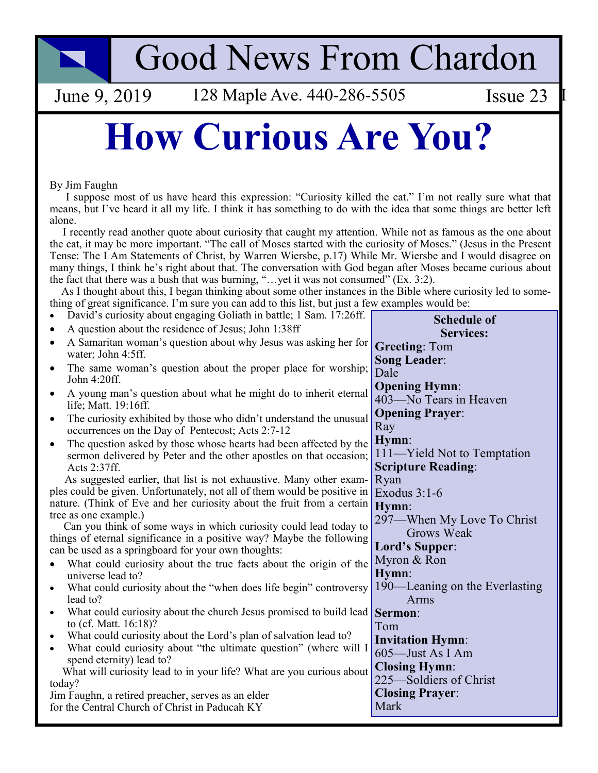## **Good News From Chardon**

June 9, 2019

128 Maple Ave. 440-286-5505

Issue 23

**Schedule of** 

403-No Tears in Heaven

**Scripture Reading:** 

Exodus  $3:1-6$ 

**Lord's Supper:** 

Arms

**Invitation Hymn:** 

605—Just As I Am

225-Soldiers of Christ

**Closing Hymn:** 

**Closing Praver:** 

Myron & Ron

Rvan

Hymn:

Hymn:

Tom

Mark

111—Yield Not to Temptation

297—When My Love To Christ

190—Leaning on the Everlasting

**Grows Weak** 

# **How Curious Are You?**

By Jim Faughn

I suppose most of us have heard this expression: "Curiosity killed the cat." I'm not really sure what that means, but I've heard it all my life. I think it has something to do with the idea that some things are better left alone.

I recently read another quote about curiosity that caught my attention. While not as famous as the one about the cat, it may be more important. "The call of Moses started with the curiosity of Moses." (Jesus in the Present Tense: The I Am Statements of Christ, by Warren Wiersbe, p.17) While Mr. Wiersbe and I would disagree on many things, I think he's right about that. The conversation with God began after Moses became curious about the fact that there was a bush that was burning, "...yet it was not consumed" (Ex. 3:2).

As I thought about this, I began thinking about some other instances in the Bible where curiosity led to something of great significance. I'm sure you can add to this list, but just a few examples would be:

David's curiosity about engaging Goliath in battle; 1 Sam. 17:26ff.

|  |  |  |  |  | A question about the residence of Jesus; John 1:38ff |
|--|--|--|--|--|------------------------------------------------------|
|--|--|--|--|--|------------------------------------------------------|

|                                                                                                                | Services:           |
|----------------------------------------------------------------------------------------------------------------|---------------------|
| • A Samaritan woman's question about why Jesus was asking her for $Greeting$ : Tom                             |                     |
| water; John 4:5ff.                                                                                             | <b>Song Leader:</b> |
|                                                                                                                |                     |
| • The same woman's question about the proper place for worship; $\begin{bmatrix} 0 & 0 \\ 0 & 0 \end{bmatrix}$ |                     |

- John 4:20ff. **Opening Hymn:**
- A young man's question about what he might do to inherit eternal life: Matt. 19:16ff.
- **Opening Prayer:** The curiosity exhibited by those who didn't understand the unusual Ray occurrences on the Day of Pentecost; Acts 2:7-12 Hymn:
- The question asked by those whose hearts had been affected by the sermon delivered by Peter and the other apostles on that occasion; Acts 2:37ff.

As suggested earlier, that list is not exhaustive. Many other examples could be given. Unfortunately, not all of them would be positive in nature. (Think of Eve and her curiosity about the fruit from a certain tree as one example.)

Can you think of some ways in which curiosity could lead today to things of eternal significance in a positive way? Maybe the following can be used as a springboard for your own thoughts:

- What could curiosity about the true facts about the origin of the universe lead to?
- What could curiosity about the "when does life begin" controversy lead to?
- What could curiosity about the church Jesus promised to build lead  $\text{Sermon}$ : to (cf. Matt. 16:18)?
- What could curiosity about the Lord's plan of salvation lead to?
- What could curiosity about "the ultimate question" (where will I spend eternity) lead to? What will curiosity lead to in your life? What are you curious about today?

Jim Faughn, a retired preacher, serves as an elder for the Central Church of Christ in Paducah KY